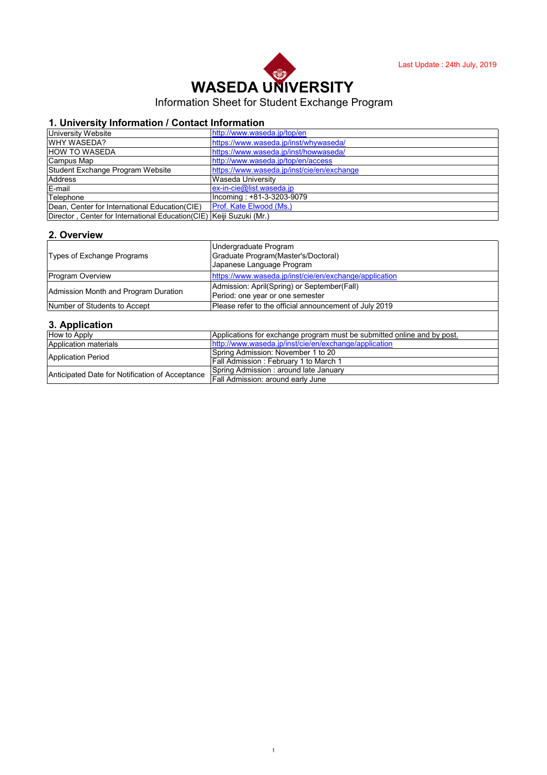# **WASEDA UNIVERSITY**

# Information Sheet for Student Exchange Program

## **1. University Information / Contact Information**

| University Website                                                    | http://www.waseda.jp/top/en                |
|-----------------------------------------------------------------------|--------------------------------------------|
| <b>WHY WASEDA?</b>                                                    | https://www.waseda.jp/inst/whywaseda/      |
| <b>HOW TO WASEDA</b>                                                  | https://www.waseda.jp/inst/howwaseda/      |
| Campus Map                                                            | http://www.waseda.jp/top/en/access         |
| Student Exchange Program Website                                      | https://www.waseda.jp/inst/cie/en/exchange |
| <b>Address</b>                                                        | Waseda Universitv                          |
| E-mail                                                                | $ex-in-cie@list.waseda.jp$                 |
| Telephone                                                             | Incoming: +81-3-3203-9079                  |
| Dean, Center for International Education (CIE)                        | Prof. Kate Elwood (Ms.)                    |
| Director, Center for International Education (CIE) Keiji Suzuki (Mr.) |                                            |

#### **2. Overview**

| Types of Exchange Programs           | Undergraduate Program<br>Graduate Program (Master's/Doctoral)<br>Japanese Language Program |
|--------------------------------------|--------------------------------------------------------------------------------------------|
| <b>Program Overview</b>              | https://www.waseda.jp/inst/cie/en/exchange/application                                     |
| Admission Month and Program Duration | Admission: April(Spring) or September(Fall)<br>Period: one year or one semester            |
| Number of Students to Accept         | Please refer to the official announcement of July 2019                                     |

## **3. Application**

| How to Apply                                    | Applications for exchange program must be submitted online and by post. |
|-------------------------------------------------|-------------------------------------------------------------------------|
| Application materials                           | http://www.waseda.jp/inst/cie/en/exchange/application                   |
| <b>Application Period</b>                       | Spring Admission: November 1 to 20                                      |
|                                                 | <b>Fall Admission: February 1 to March 1</b>                            |
| Anticipated Date for Notification of Acceptance | Spring Admission: around late January                                   |
|                                                 | Fall Admission: around early June                                       |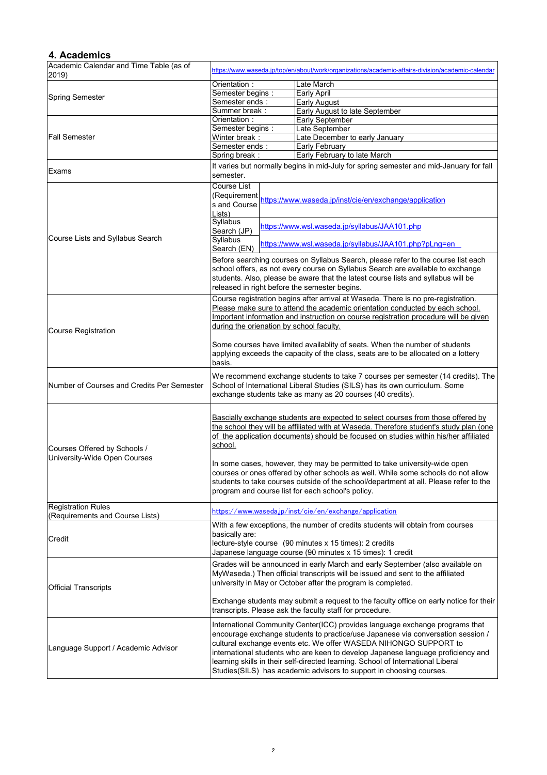#### **4. Academics**

| Academic Calendar and Time Table (as of<br>2019)             | https://www.waseda.jp/top/en/about/work/organizations/academic-affairs-division/academic-calendar                                                                                                                                                                                                          |  |                                                                                                                                                                                                                                                                                                                                                                                                                                                                                    |
|--------------------------------------------------------------|------------------------------------------------------------------------------------------------------------------------------------------------------------------------------------------------------------------------------------------------------------------------------------------------------------|--|------------------------------------------------------------------------------------------------------------------------------------------------------------------------------------------------------------------------------------------------------------------------------------------------------------------------------------------------------------------------------------------------------------------------------------------------------------------------------------|
|                                                              | Orientation:                                                                                                                                                                                                                                                                                               |  | Late March                                                                                                                                                                                                                                                                                                                                                                                                                                                                         |
|                                                              | Semester begins:                                                                                                                                                                                                                                                                                           |  | Early April                                                                                                                                                                                                                                                                                                                                                                                                                                                                        |
| <b>Spring Semester</b>                                       | Semester ends:                                                                                                                                                                                                                                                                                             |  | Early August                                                                                                                                                                                                                                                                                                                                                                                                                                                                       |
|                                                              | Summer break:                                                                                                                                                                                                                                                                                              |  | Early August to late September                                                                                                                                                                                                                                                                                                                                                                                                                                                     |
| <b>Fall Semester</b>                                         | Orientation:                                                                                                                                                                                                                                                                                               |  | Early September                                                                                                                                                                                                                                                                                                                                                                                                                                                                    |
|                                                              | Semester begins:                                                                                                                                                                                                                                                                                           |  | Late September                                                                                                                                                                                                                                                                                                                                                                                                                                                                     |
|                                                              | Winter break:                                                                                                                                                                                                                                                                                              |  | Late December to early January                                                                                                                                                                                                                                                                                                                                                                                                                                                     |
|                                                              | Semester ends:                                                                                                                                                                                                                                                                                             |  | Early February                                                                                                                                                                                                                                                                                                                                                                                                                                                                     |
|                                                              | Spring break:                                                                                                                                                                                                                                                                                              |  | Early February to late March                                                                                                                                                                                                                                                                                                                                                                                                                                                       |
| Exams                                                        | semester.                                                                                                                                                                                                                                                                                                  |  | It varies but normally begins in mid-July for spring semester and mid-January for fall                                                                                                                                                                                                                                                                                                                                                                                             |
|                                                              | Course List<br>(Requirement<br>s and Course<br>Lists)                                                                                                                                                                                                                                                      |  | https://www.waseda.jp/inst/cie/en/exchange/application                                                                                                                                                                                                                                                                                                                                                                                                                             |
| Course Lists and Syllabus Search                             | Syllabus<br>Search (JP)<br><b>Syllabus</b>                                                                                                                                                                                                                                                                 |  | https://www.wsl.waseda.jp/syllabus/JAA101.php                                                                                                                                                                                                                                                                                                                                                                                                                                      |
|                                                              | Search (EN)                                                                                                                                                                                                                                                                                                |  | https://www.wsl.waseda.jp/syllabus/JAA101.php?pLnq=en                                                                                                                                                                                                                                                                                                                                                                                                                              |
|                                                              | Before searching courses on Syllabus Search, please refer to the course list each<br>school offers, as not every course on Syllabus Search are available to exchange<br>students. Also, please be aware that the latest course lists and syllabus will be<br>released in right before the semester begins. |  |                                                                                                                                                                                                                                                                                                                                                                                                                                                                                    |
|                                                              |                                                                                                                                                                                                                                                                                                            |  | Course registration begins after arrival at Waseda. There is no pre-registration.<br>Please make sure to attend the academic orientation conducted by each school.                                                                                                                                                                                                                                                                                                                 |
|                                                              |                                                                                                                                                                                                                                                                                                            |  | Important information and instruction on course registration procedure will be given                                                                                                                                                                                                                                                                                                                                                                                               |
| <b>Course Registration</b>                                   | during the orienation by school faculty.                                                                                                                                                                                                                                                                   |  |                                                                                                                                                                                                                                                                                                                                                                                                                                                                                    |
|                                                              | basis.                                                                                                                                                                                                                                                                                                     |  | Some courses have limited availablity of seats. When the number of students<br>applying exceeds the capacity of the class, seats are to be allocated on a lottery                                                                                                                                                                                                                                                                                                                  |
| Number of Courses and Credits Per Semester                   | We recommend exchange students to take 7 courses per semester (14 credits). The<br>School of International Liberal Studies (SILS) has its own curriculum. Some<br>exchange students take as many as 20 courses (40 credits).                                                                               |  |                                                                                                                                                                                                                                                                                                                                                                                                                                                                                    |
| Courses Offered by Schools /<br>University-Wide Open Courses | school.                                                                                                                                                                                                                                                                                                    |  | Bascially exchange students are expected to select courses from those offered by<br>the school they will be affiliated with at Waseda. Therefore student's study plan (one<br>of the application documents) should be focused on studies within his/her affiliated                                                                                                                                                                                                                 |
|                                                              |                                                                                                                                                                                                                                                                                                            |  | In some cases, however, they may be permitted to take university-wide open<br>courses or ones offered by other schools as well. While some schools do not allow<br>students to take courses outside of the school/department at all. Please refer to the<br>program and course list for each school's policy.                                                                                                                                                                      |
| <b>Registration Rules</b><br>(Requirements and Course Lists) | https://www.waseda.jp/inst/cie/en/exchange/application                                                                                                                                                                                                                                                     |  |                                                                                                                                                                                                                                                                                                                                                                                                                                                                                    |
| Credit                                                       | With a few exceptions, the number of credits students will obtain from courses<br>basically are:<br>lecture-style course (90 minutes x 15 times): 2 credits<br>Japanese language course (90 minutes x 15 times): 1 credit                                                                                  |  |                                                                                                                                                                                                                                                                                                                                                                                                                                                                                    |
| <b>Official Transcripts</b>                                  |                                                                                                                                                                                                                                                                                                            |  | Grades will be announced in early March and early September (also available on<br>MyWaseda.) Then official transcripts will be issued and sent to the affiliated<br>university in May or October after the program is completed.                                                                                                                                                                                                                                                   |
|                                                              | Exchange students may submit a request to the faculty office on early notice for their<br>transcripts. Please ask the faculty staff for procedure.                                                                                                                                                         |  |                                                                                                                                                                                                                                                                                                                                                                                                                                                                                    |
| Language Support / Academic Advisor                          |                                                                                                                                                                                                                                                                                                            |  | International Community Center(ICC) provides language exchange programs that<br>encourage exchange students to practice/use Japanese via conversation session /<br>cultural exchange events etc. We offer WASEDA NIHONGO SUPPORT to<br>international students who are keen to develop Japanese language proficiency and<br>learning skills in their self-directed learning. School of International Liberal<br>Studies(SILS) has academic advisors to support in choosing courses. |